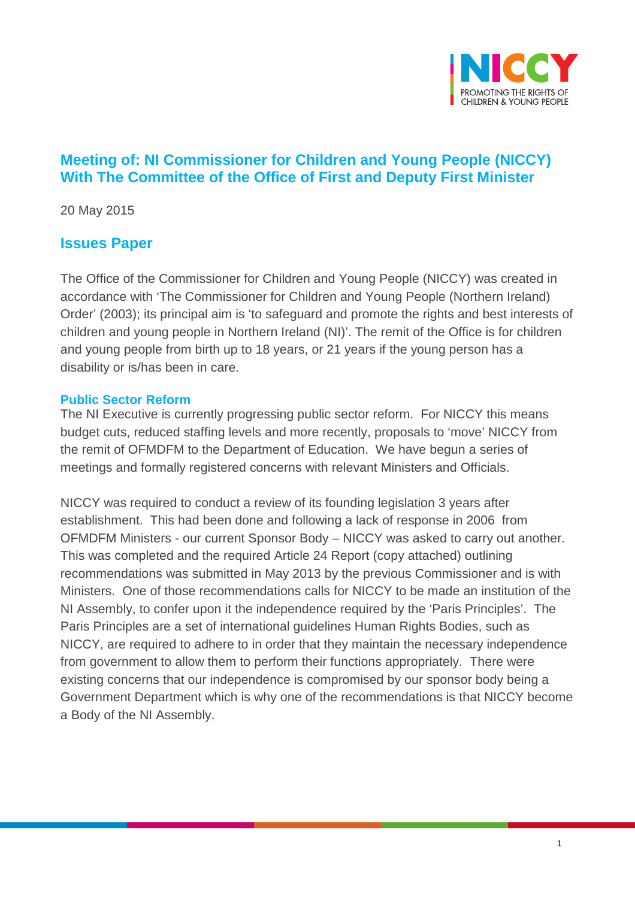

# **Meeting of: NI Commissioner for Children and Young People (NICCY) With The Committee of the Office of First and Deputy First Minister**

20 May 2015

## **Issues Paper**

The Office of the Commissioner for Children and Young People (NICCY) was created in accordance with 'The Commissioner for Children and Young People (Northern Ireland) Order' (2003); its principal aim is 'to safeguard and promote the rights and best interests of children and young people in Northern Ireland (NI)'. The remit of the Office is for children and young people from birth up to 18 years, or 21 years if the young person has a disability or is/has been in care.

#### **Public Sector Reform**

The NI Executive is currently progressing public sector reform. For NICCY this means budget cuts, reduced staffing levels and more recently, proposals to 'move' NICCY from the remit of OFMDFM to the Department of Education. We have begun a series of meetings and formally registered concerns with relevant Ministers and Officials.

NICCY was required to conduct a review of its founding legislation 3 years after establishment. This had been done and following a lack of response in 2006 from OFMDFM Ministers - our current Sponsor Body – NICCY was asked to carry out another. This was completed and the required Article 24 Report (copy attached) outlining recommendations was submitted in May 2013 by the previous Commissioner and is with Ministers. One of those recommendations calls for NICCY to be made an institution of the NI Assembly, to confer upon it the independence required by the 'Paris Principles'. The Paris Principles are a set of international guidelines Human Rights Bodies, such as NICCY, are required to adhere to in order that they maintain the necessary independence from government to allow them to perform their functions appropriately. There were existing concerns that our independence is compromised by our sponsor body being a Government Department which is why one of the recommendations is that NICCY become a Body of the NI Assembly.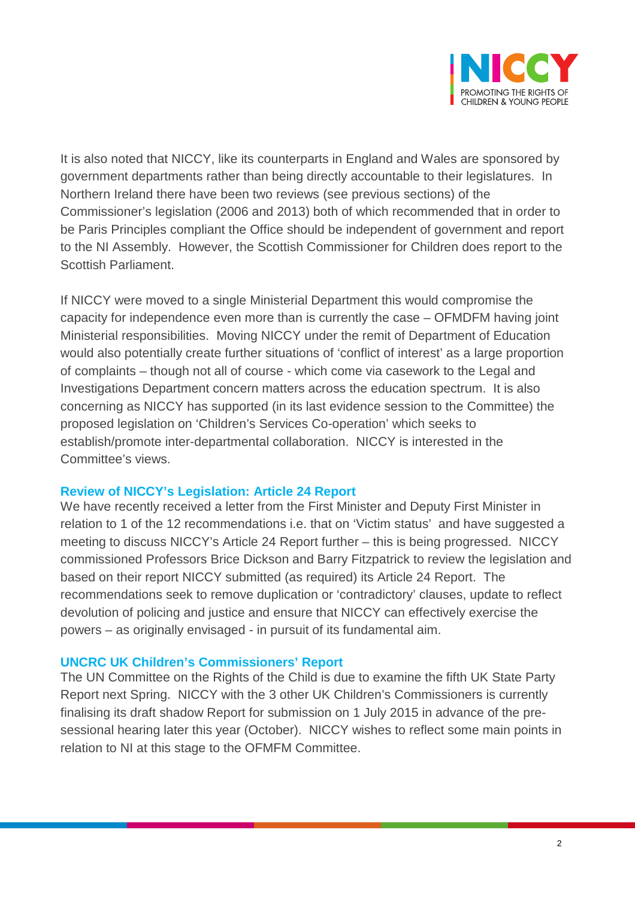

It is also noted that NICCY, like its counterparts in England and Wales are sponsored by government departments rather than being directly accountable to their legislatures. In Northern Ireland there have been two reviews (see previous sections) of the Commissioner's legislation (2006 and 2013) both of which recommended that in order to be Paris Principles compliant the Office should be independent of government and report to the NI Assembly. However, the Scottish Commissioner for Children does report to the Scottish Parliament.

If NICCY were moved to a single Ministerial Department this would compromise the capacity for independence even more than is currently the case – OFMDFM having joint Ministerial responsibilities. Moving NICCY under the remit of Department of Education would also potentially create further situations of 'conflict of interest' as a large proportion of complaints – though not all of course - which come via casework to the Legal and Investigations Department concern matters across the education spectrum. It is also concerning as NICCY has supported (in its last evidence session to the Committee) the proposed legislation on 'Children's Services Co-operation' which seeks to establish/promote inter-departmental collaboration. NICCY is interested in the Committee's views.

#### **Review of NICCY's Legislation: Article 24 Report**

We have recently received a letter from the First Minister and Deputy First Minister in relation to 1 of the 12 recommendations i.e. that on 'Victim status' and have suggested a meeting to discuss NICCY's Article 24 Report further – this is being progressed. NICCY commissioned Professors Brice Dickson and Barry Fitzpatrick to review the legislation and based on their report NICCY submitted (as required) its Article 24 Report. The recommendations seek to remove duplication or 'contradictory' clauses, update to reflect devolution of policing and justice and ensure that NICCY can effectively exercise the powers – as originally envisaged - in pursuit of its fundamental aim.

#### **UNCRC UK Children's Commissioners' Report**

The UN Committee on the Rights of the Child is due to examine the fifth UK State Party Report next Spring. NICCY with the 3 other UK Children's Commissioners is currently finalising its draft shadow Report for submission on 1 July 2015 in advance of the presessional hearing later this year (October). NICCY wishes to reflect some main points in relation to NI at this stage to the OFMFM Committee.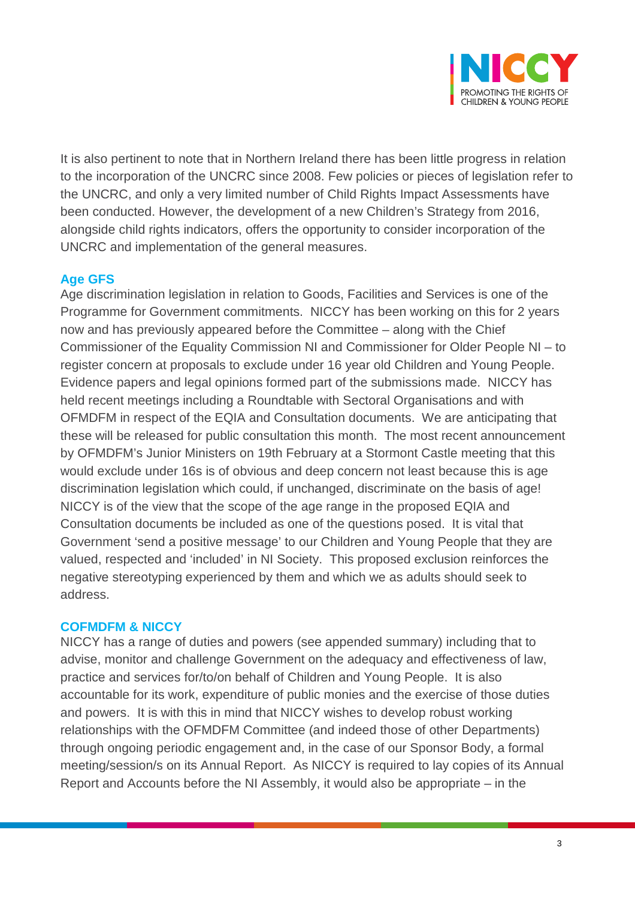

It is also pertinent to note that in Northern Ireland there has been little progress in relation to the incorporation of the UNCRC since 2008. Few policies or pieces of legislation refer to the UNCRC, and only a very limited number of Child Rights Impact Assessments have been conducted. However, the development of a new Children's Strategy from 2016, alongside child rights indicators, offers the opportunity to consider incorporation of the UNCRC and implementation of the general measures.

### **Age GFS**

Age discrimination legislation in relation to Goods, Facilities and Services is one of the Programme for Government commitments. NICCY has been working on this for 2 years now and has previously appeared before the Committee – along with the Chief Commissioner of the Equality Commission NI and Commissioner for Older People NI – to register concern at proposals to exclude under 16 year old Children and Young People. Evidence papers and legal opinions formed part of the submissions made. NICCY has held recent meetings including a Roundtable with Sectoral Organisations and with OFMDFM in respect of the EQIA and Consultation documents. We are anticipating that these will be released for public consultation this month. The most recent announcement by OFMDFM's Junior Ministers on 19th February at a Stormont Castle meeting that this would exclude under 16s is of obvious and deep concern not least because this is age discrimination legislation which could, if unchanged, discriminate on the basis of age! NICCY is of the view that the scope of the age range in the proposed EQIA and Consultation documents be included as one of the questions posed. It is vital that Government 'send a positive message' to our Children and Young People that they are valued, respected and 'included' in NI Society. This proposed exclusion reinforces the negative stereotyping experienced by them and which we as adults should seek to address.

### **COFMDFM & NICCY**

NICCY has a range of duties and powers (see appended summary) including that to advise, monitor and challenge Government on the adequacy and effectiveness of law, practice and services for/to/on behalf of Children and Young People. It is also accountable for its work, expenditure of public monies and the exercise of those duties and powers. It is with this in mind that NICCY wishes to develop robust working relationships with the OFMDFM Committee (and indeed those of other Departments) through ongoing periodic engagement and, in the case of our Sponsor Body, a formal meeting/session/s on its Annual Report. As NICCY is required to lay copies of its Annual Report and Accounts before the NI Assembly, it would also be appropriate – in the